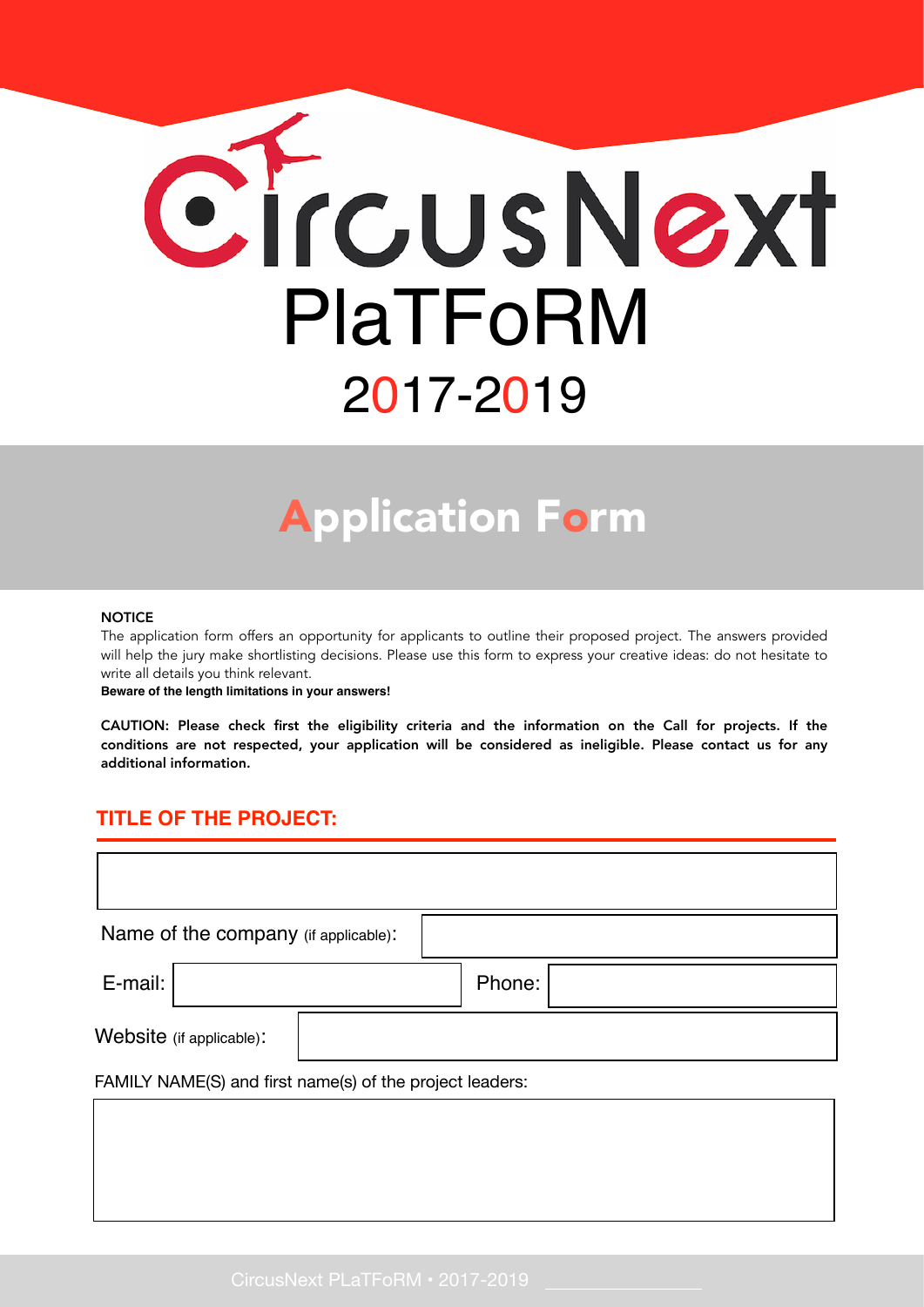

# Application Form

#### **NOTICE**

The application form offers an opportunity for applicants to outline their proposed project. The answers provided will help the jury make shortlisting decisions. Please use this form to express your creative ideas: do not hesitate to write all details you think relevant.

**Beware of the length limitations in your answers!**

CAUTION: Please check first the eligibility criteria and the information on the Call for projects. If the conditions are not respected, your application will be considered as ineligible. Please contact us for any additional information.

#### **TITLE OF THE PROJECT:**

| Name of the company (if applicable): |  |  |  |  |
|--------------------------------------|--|--|--|--|
| Phone:                               |  |  |  |  |
|                                      |  |  |  |  |
|                                      |  |  |  |  |

FAMILY NAME(S) and first name(s) of the project leaders: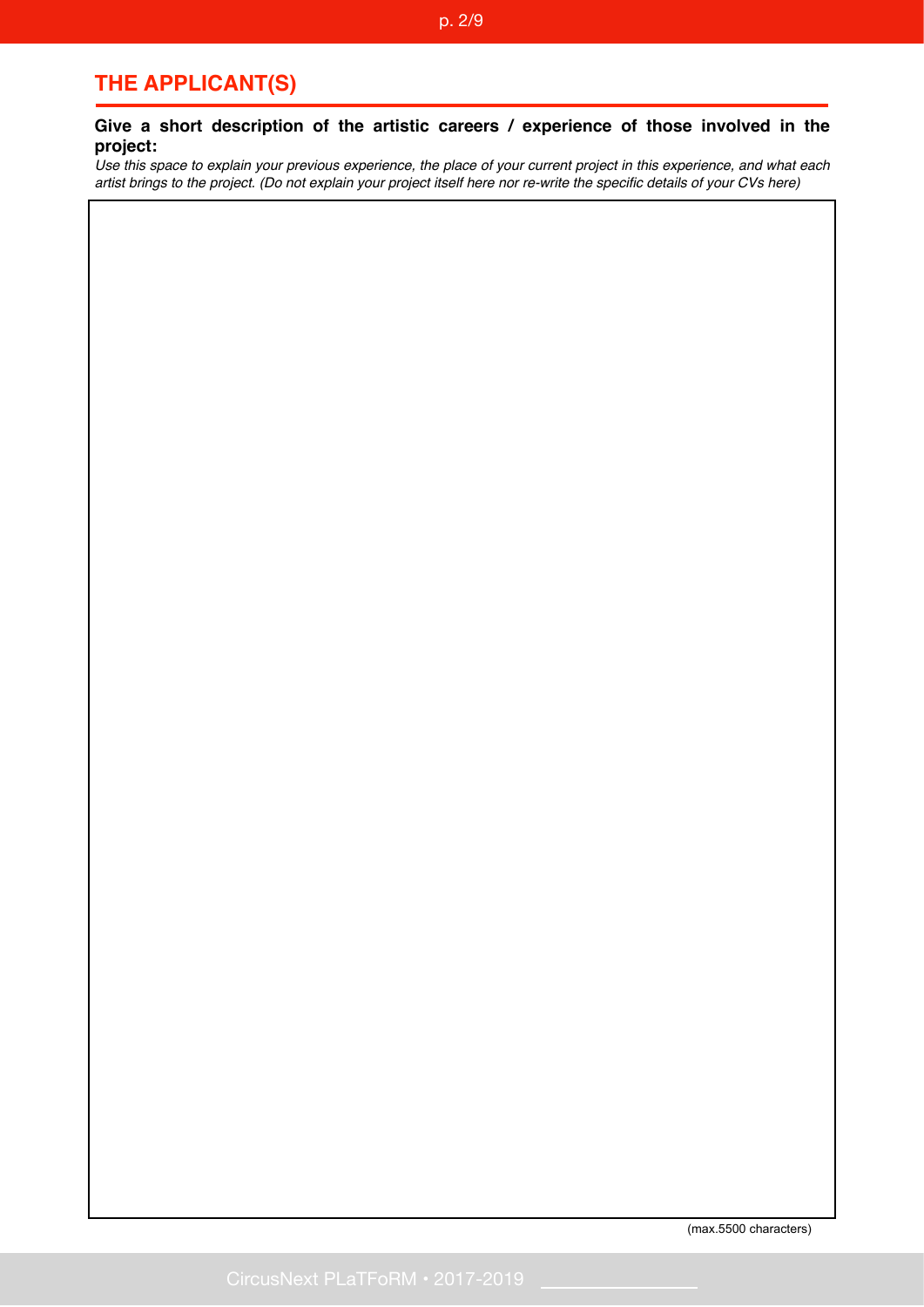#### p. 2/9

# **THE APPLICANT(S)**

#### **Give a short description of the artistic careers / experience of those involved in the project:**

*Use this space to explain your previous experience, the place of your current project in this experience, and what each artist brings to the project. (Do not explain your project itself here nor re-write the specific details of your CVs here)* 

(max.5500 characters)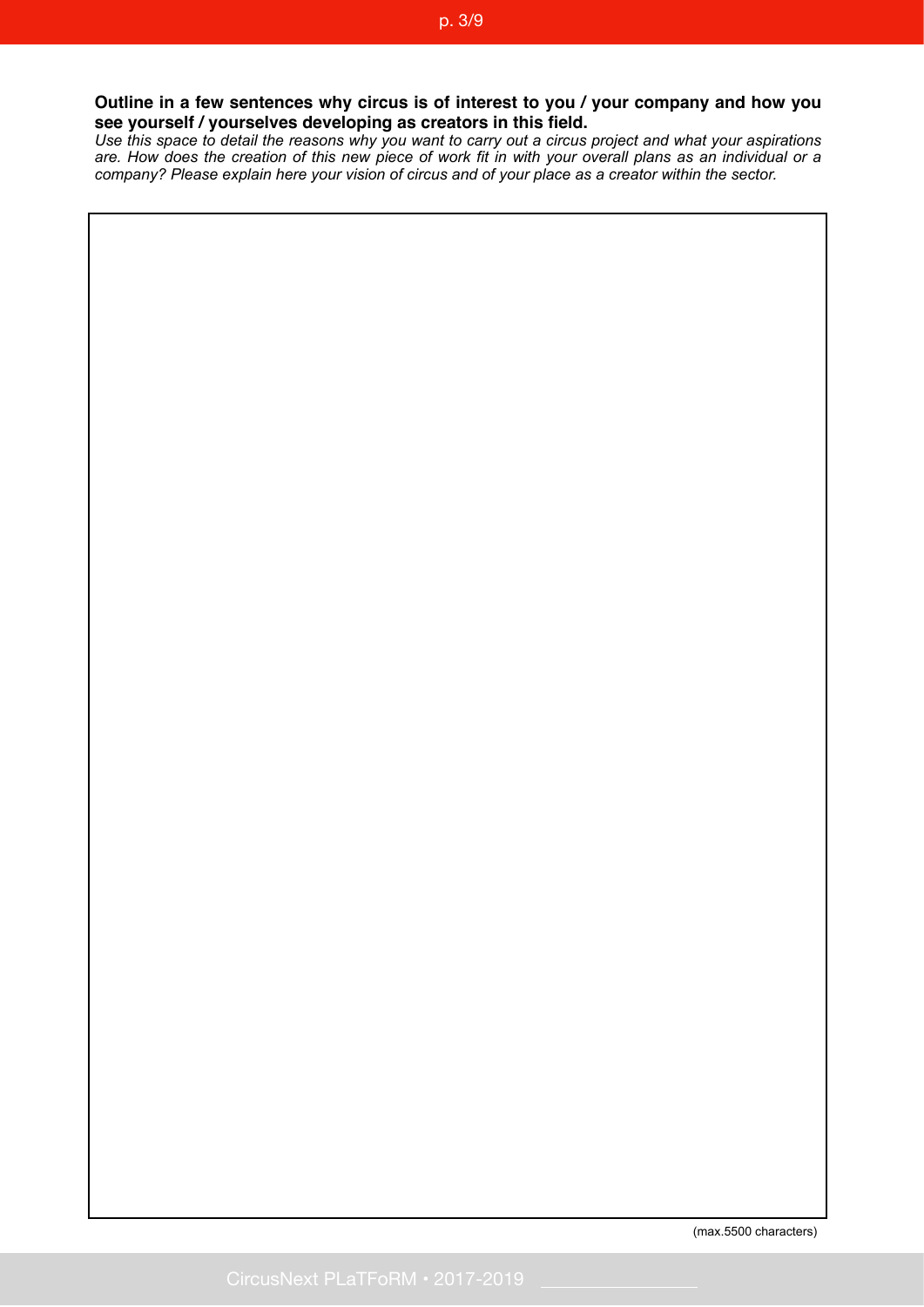#### **Outline in a few sentences why circus is of interest to you / your company and how you see yourself / yourselves developing as creators in this field.**

*Use this space to detail the reasons why you want to carry out a circus project and what your aspirations are. How does the creation of this new piece of work fit in with your overall plans as an individual or a company? Please explain here your vision of circus and of your place as a creator within the sector.*

(max.5500 characters)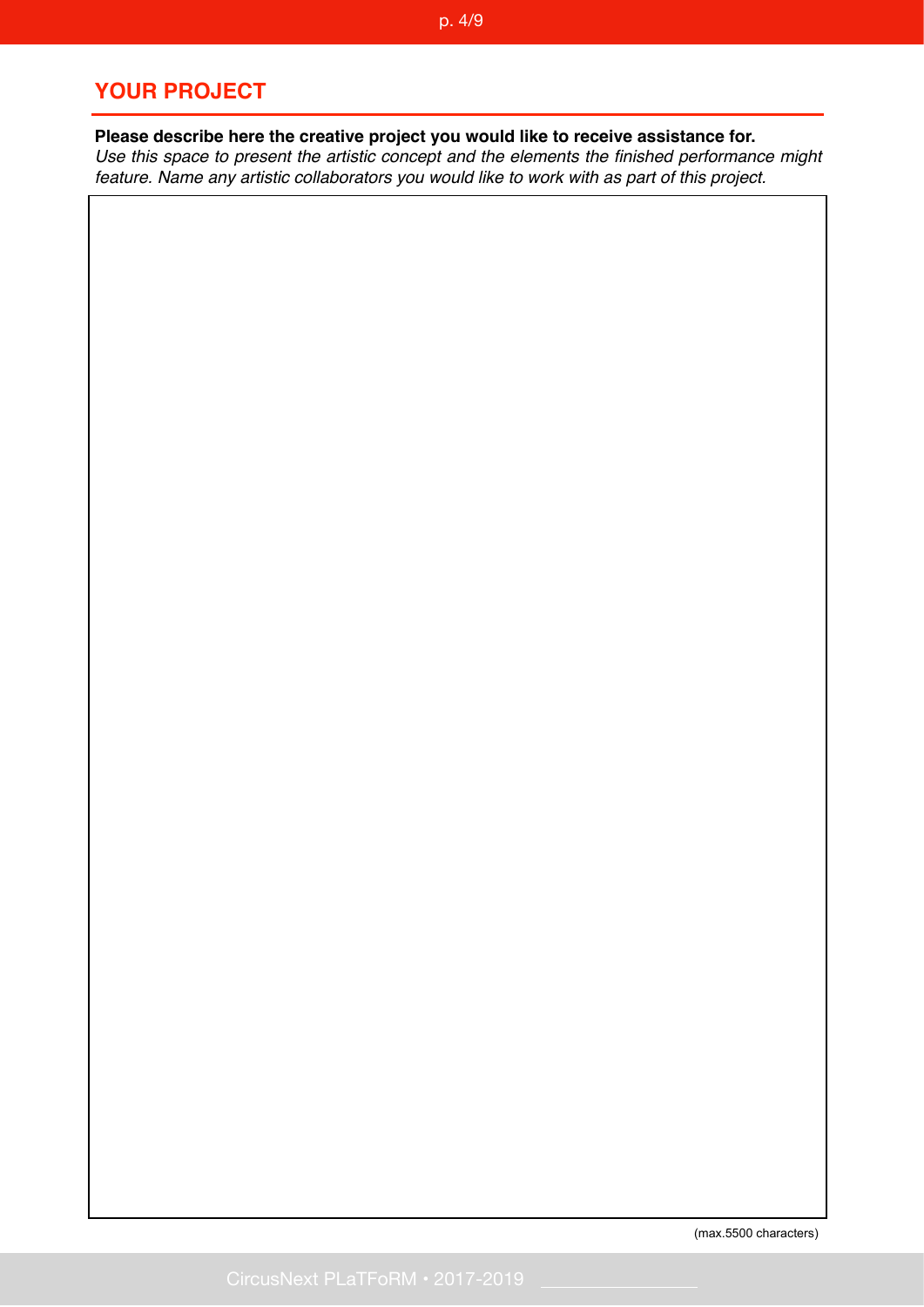# **YOUR PROJECT**

**Please describe here the creative project you would like to receive assistance for.**  *Use this space to present the artistic concept and the elements the finished performance might* 

*feature. Name any artistic collaborators you would like to work with as part of this project.*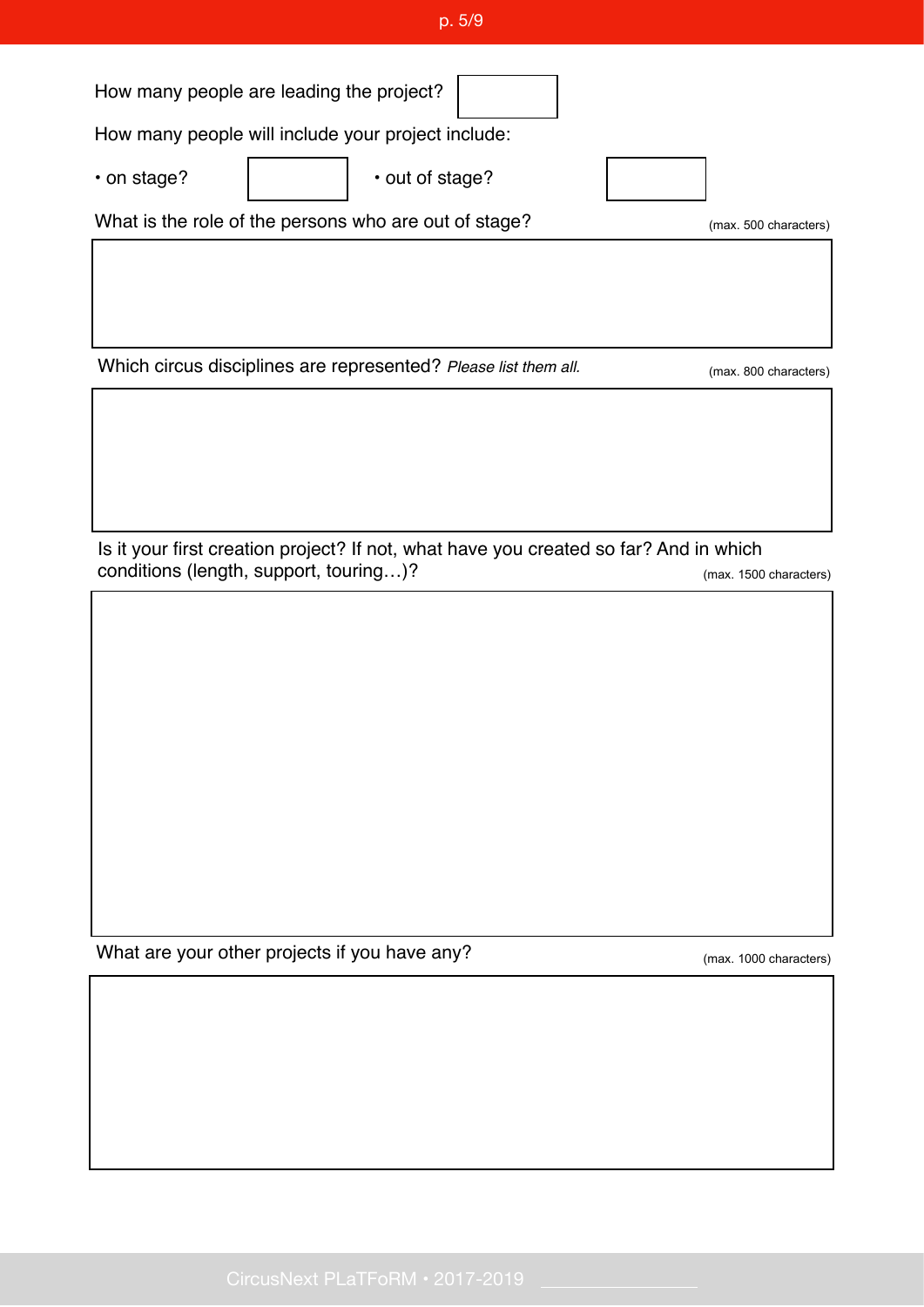| Which circus disciplines are represented? Please list them all.                                                                 | (max. 800 characters)  |
|---------------------------------------------------------------------------------------------------------------------------------|------------------------|
|                                                                                                                                 |                        |
| Is it your first creation project? If not, what have you created so far? And in which<br>conditions (length, support, touring)? | (max. 1500 characters) |
|                                                                                                                                 |                        |
| What are your other projects if you have any?                                                                                   | (max. 1000 characters) |
|                                                                                                                                 |                        |
|                                                                                                                                 |                        |
| CircusNext PLaTFoRM · 2017-2019                                                                                                 |                        |
|                                                                                                                                 |                        |

p. 5/9

(max. 500 characters)

How many people are leading the project?

How many people will include your project include:

• on stage? | | | | | | | | | | | out of stage?

What is the role of the persons who are out of stage?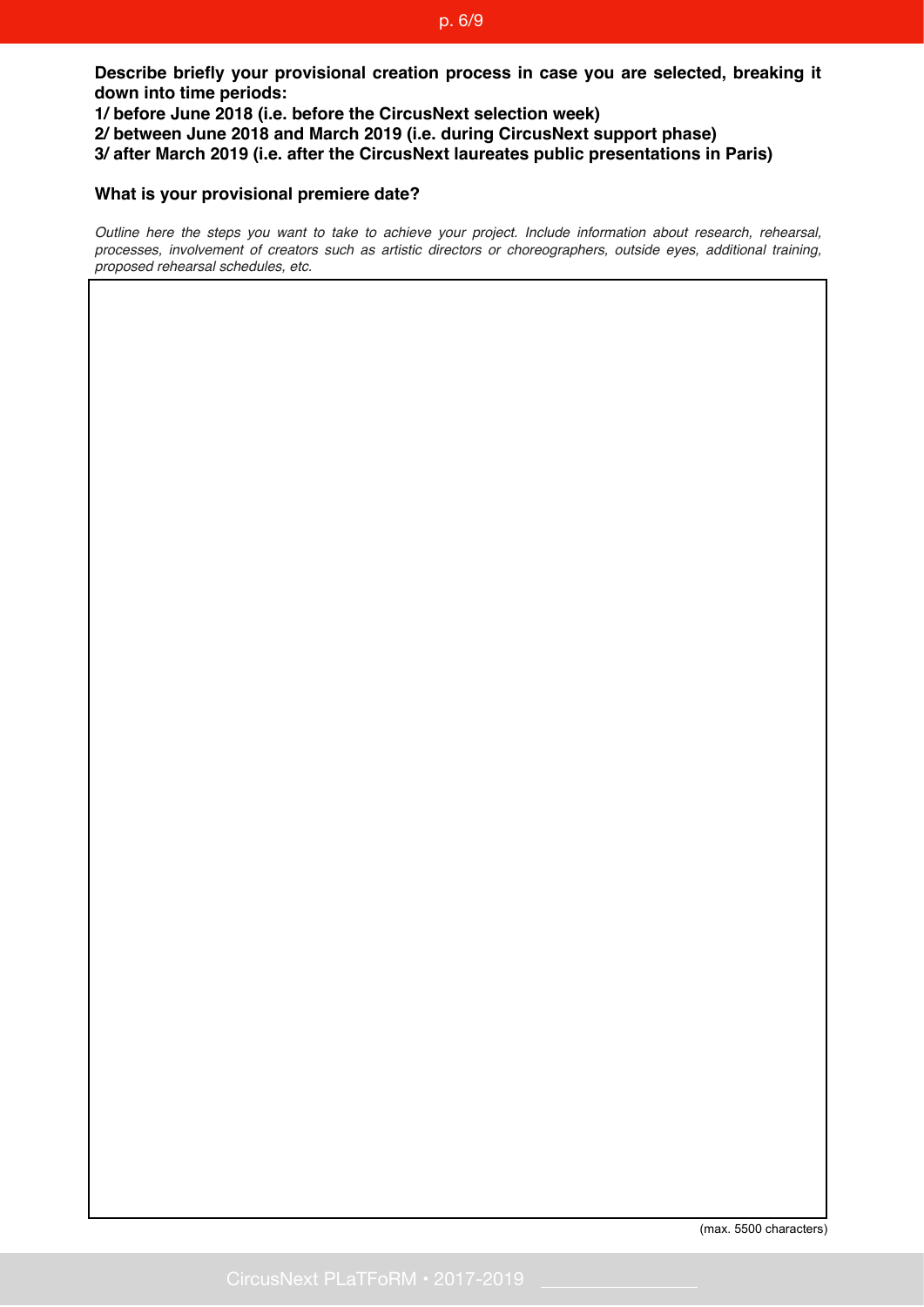#### p. 6/9

**Describe briefly your provisional creation process in case you are selected, breaking it down into time periods:**

**1/ before June 2018 (i.e. before the CircusNext selection week) 2/ between June 2018 and March 2019 (i.e. during CircusNext support phase) 3/ after March 2019 (i.e. after the CircusNext laureates public presentations in Paris)**

#### **What is your provisional premiere date?**

*Outline here the steps you want to take to achieve your project. Include information about research, rehearsal, processes, involvement of creators such as artistic directors or choreographers, outside eyes, additional training, proposed rehearsal schedules, etc.*

(max. 5500 characters)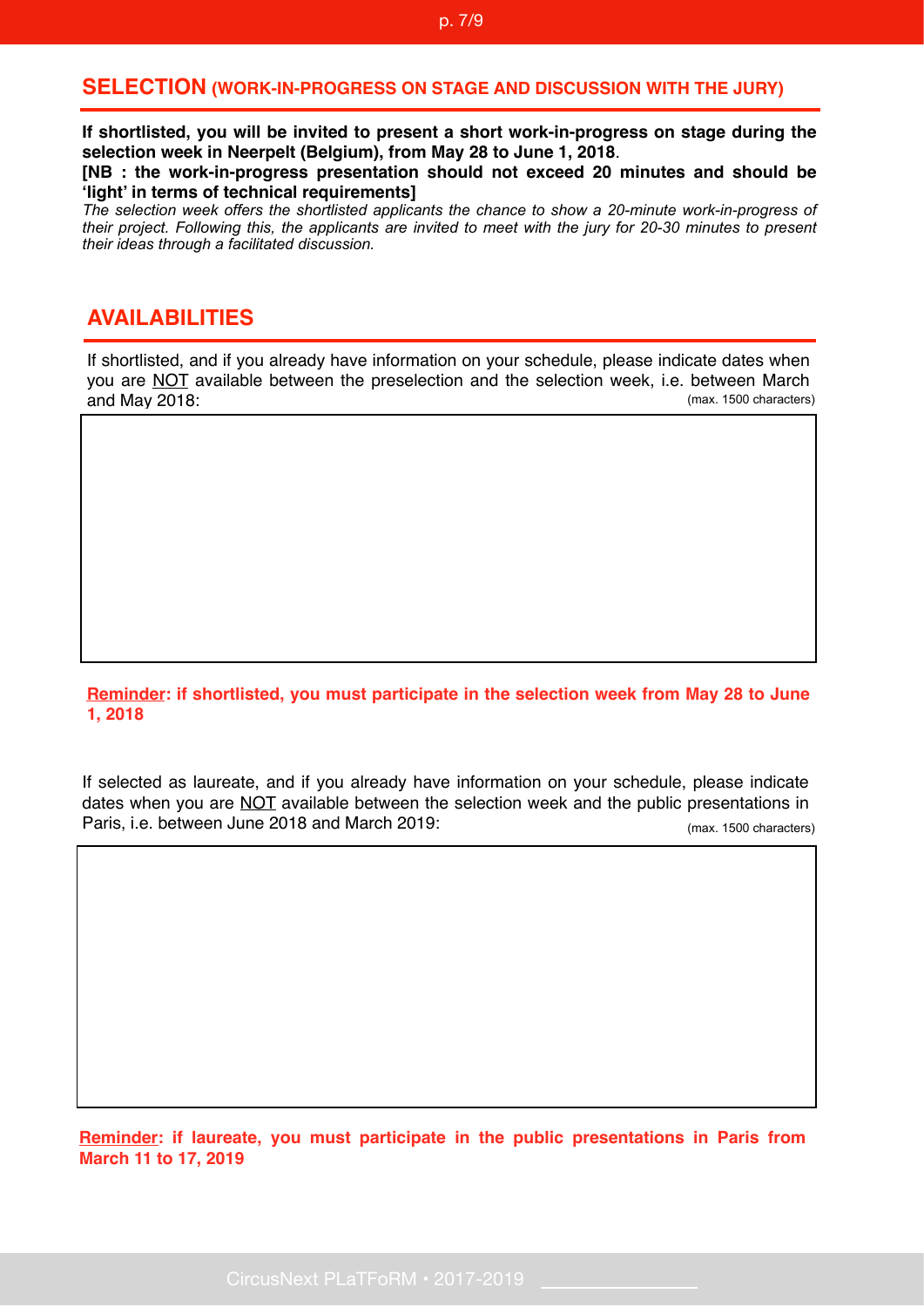#### **SELECTION (WORK-IN-PROGRESS ON STAGE AND DISCUSSION WITH THE JURY)**

**If shortlisted, you will be invited to present a short work-in-progress on stage during the selection week in Neerpelt (Belgium), from May 28 to June 1, 2018**.

**[NB : the work-in-progress presentation should not exceed 20 minutes and should be 'light' in terms of technical requirements]**

*The selection week offers the shortlisted applicants the chance to show a 20-minute work-in-progress of their project. Following this, the applicants are invited to meet with the jury for 20-30 minutes to present their ideas through a facilitated discussion.*

### **AVAILABILITIES**

If shortlisted, and if you already have information on your schedule, please indicate dates when you are NOT available between the preselection and the selection week, i.e. between March and May 2018: (max. 1500 characters)

#### **Reminder: if shortlisted, you must participate in the selection week from May 28 to June 1, 2018**

If selected as laureate, and if you already have information on your schedule, please indicate dates when you are NOT available between the selection week and the public presentations in Paris, i.e. between June 2018 and March 2019: (max. 1500 characters)

**Reminder: if laureate, you must participate in the public presentations in Paris from March 11 to 17, 2019**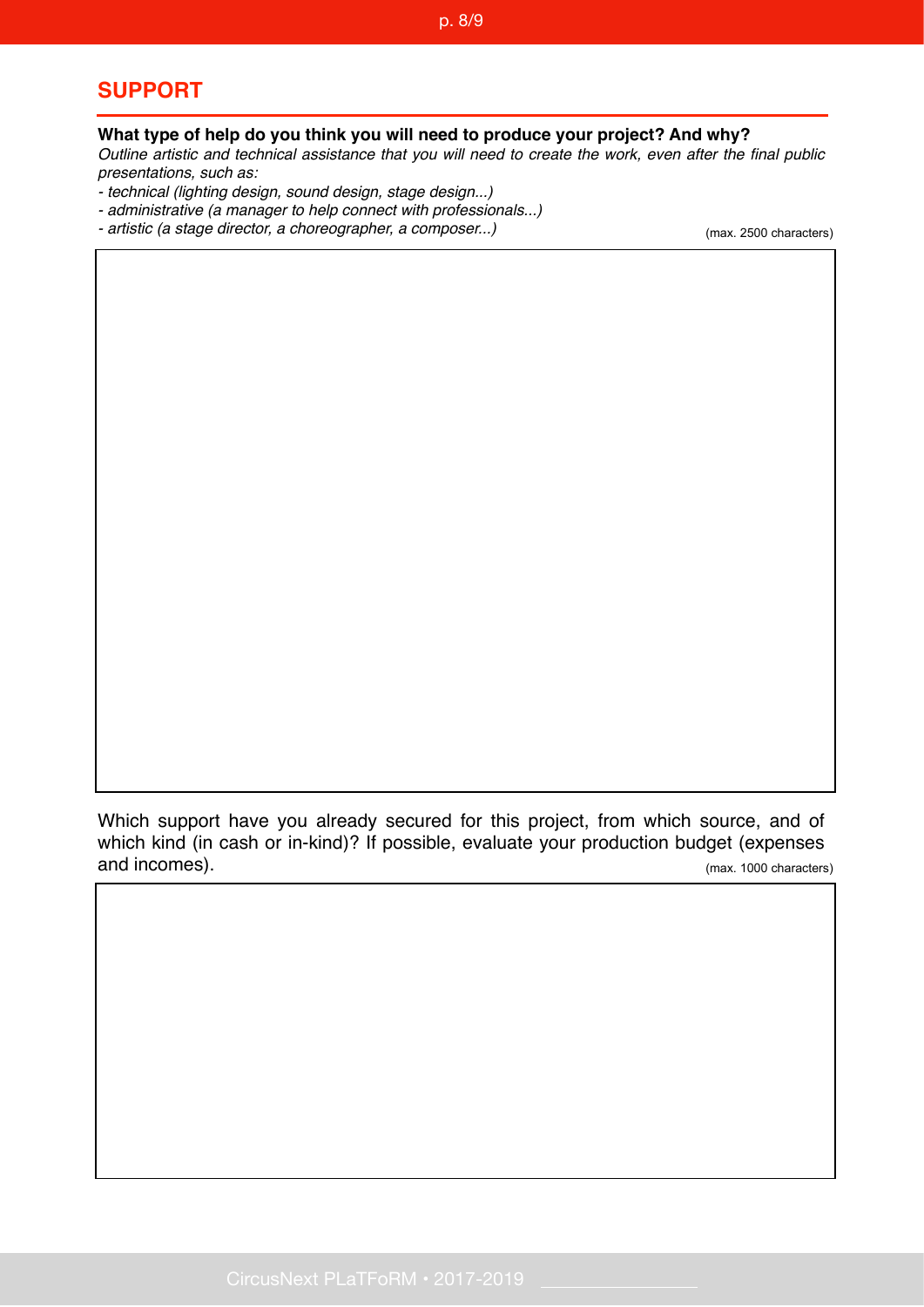# **SUPPORT**

#### **What type of help do you think you will need to produce your project? And why?**

*Outline artistic and technical assistance that you will need to create the work, even after the final public presentations, such as:* 

- *technical (lighting design, sound design, stage design...)*
- *administrative (a manager to help connect with professionals...)*
- *artistic (a stage director, a choreographer, a composer...)*

(max. 2500 characters)

Which support have you already secured for this project, from which source, and of which kind (in cash or in-kind)? If possible, evaluate your production budget (expenses and incomes). (max. 1000 characters)